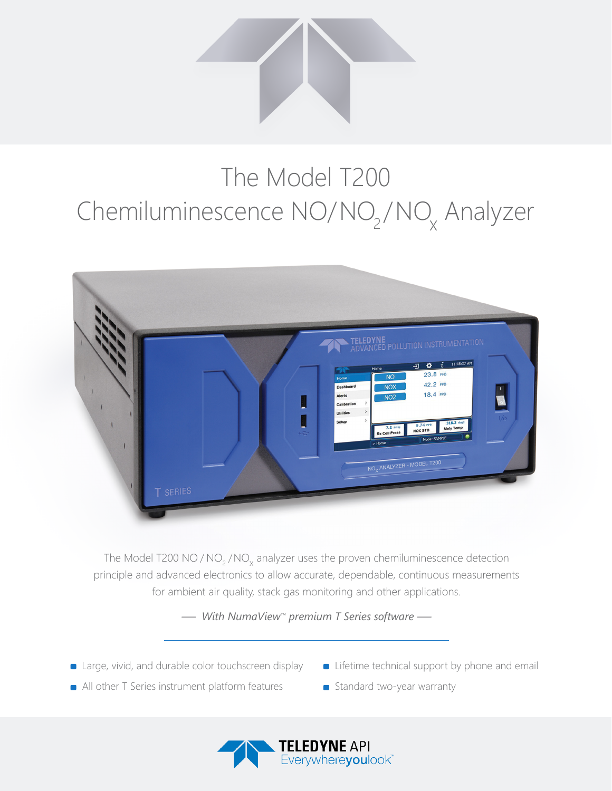

## The Model T200 Chemiluminescence NO/NO<sub>2</sub>/NO<sub>x</sub> Analyzer



The Model T200 NO / NO<sub>2</sub> / NO<sub>x</sub> analyzer uses the proven chemiluminescence detection principle and advanced electronics to allow accurate, dependable, continuous measurements for ambient air quality, stack gas monitoring and other applications.

*— With NumaView™ premium T Series software —*

- **E** Large, vivid, and durable color touchscreen display
- **Example 1** Lifetime technical support by phone and email
- All other T Series instrument platform features
- Standard two-year warranty